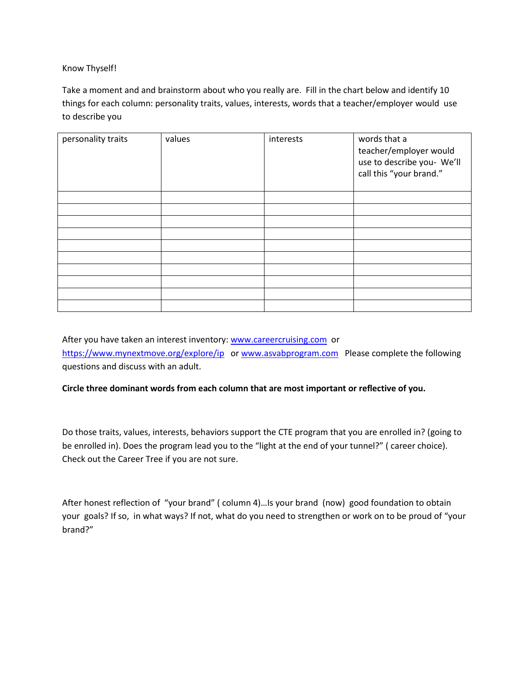#### Know Thyself!

Take a moment and and brainstorm about who you really are. Fill in the chart below and identify 10 things for each column: personality traits, values, interests, words that a teacher/employer would use to describe you

| personality traits | values | interests | words that a<br>teacher/employer would<br>use to describe you- We'll<br>call this "your brand." |
|--------------------|--------|-----------|-------------------------------------------------------------------------------------------------|
|                    |        |           |                                                                                                 |
|                    |        |           |                                                                                                 |
|                    |        |           |                                                                                                 |
|                    |        |           |                                                                                                 |
|                    |        |           |                                                                                                 |
|                    |        |           |                                                                                                 |
|                    |        |           |                                                                                                 |
|                    |        |           |                                                                                                 |
|                    |        |           |                                                                                                 |
|                    |        |           |                                                                                                 |

After you have taken an interest inventory: [www.careercruising.com](http://www.careercruising.com/) or <https://www.mynextmove.org/explore/ip>or [www.asvabprogram.com](http://www.asvabprogram.com/) Please complete the following questions and discuss with an adult.

#### **Circle three dominant words from each column that are most important or reflective of you.**

Do those traits, values, interests, behaviors support the CTE program that you are enrolled in? (going to be enrolled in). Does the program lead you to the "light at the end of your tunnel?" ( career choice). Check out the Career Tree if you are not sure.

After honest reflection of "your brand" ( column 4)…Is your brand (now) good foundation to obtain your goals? If so, in what ways? If not, what do you need to strengthen or work on to be proud of "your brand?"